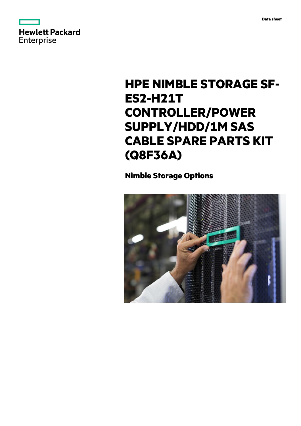



# **HPE NIMBLE STORAGE SF-ES2-H21T CONTROLLER/POWER SUPPLY/HDD/1M SAS CABLE SPARE PARTS KIT (Q8F36A)**

# **Nimble Storage Options**